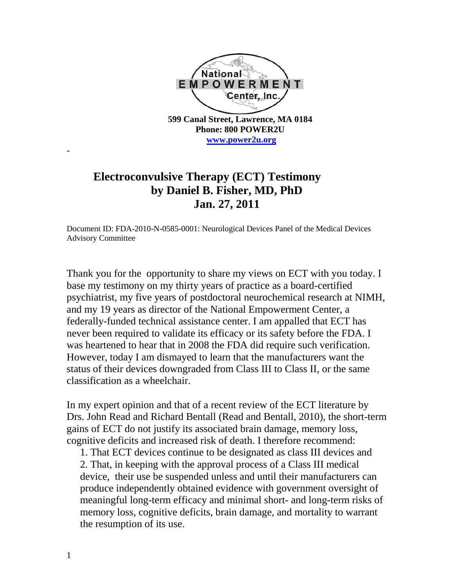

## **Electroconvulsive Therapy (ECT) Testimony by Daniel B. Fisher, MD, PhD Jan. 27, 2011**

Document ID: FDA-2010-N-0585-0001: Neurological Devices Panel of the Medical Devices Advisory Committee

Thank you for the opportunity to share my views on ECT with you today. I base my testimony on my thirty years of practice as a board-certified psychiatrist, my five years of postdoctoral neurochemical research at NIMH, and my 19 years as director of the National Empowerment Center, a federally-funded technical assistance center. I am appalled that ECT has never been required to validate its efficacy or its safety before the FDA. I was heartened to hear that in 2008 the FDA did require such verification. However, today I am dismayed to learn that the manufacturers want the status of their devices downgraded from Class III to Class II, or the same classification as a wheelchair.

In my expert opinion and that of a recent review of the ECT literature by Drs. John Read and Richard Bentall (Read and Bentall, 2010), the short-term gains of ECT do not justify its associated brain damage, memory loss, cognitive deficits and increased risk of death. I therefore recommend:

1. That ECT devices continue to be designated as class III devices and 2. That, in keeping with the approval process of a Class III medical device, their use be suspended unless and until their manufacturers can produce independently obtained evidence with government oversight of meaningful long-term efficacy and minimal short- and long-term risks of memory loss, cognitive deficits, brain damage, and mortality to warrant the resumption of its use.

-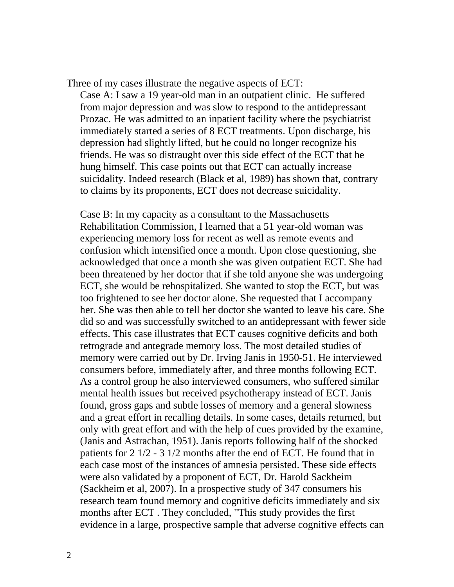Three of my cases illustrate the negative aspects of ECT:

Case A: I saw a 19 year-old man in an outpatient clinic. He suffered from major depression and was slow to respond to the antidepressant Prozac. He was admitted to an inpatient facility where the psychiatrist immediately started a series of 8 ECT treatments. Upon discharge, his depression had slightly lifted, but he could no longer recognize his friends. He was so distraught over this side effect of the ECT that he hung himself. This case points out that ECT can actually increase suicidality. Indeed research (Black et al, 1989) has shown that, contrary to claims by its proponents, ECT does not decrease suicidality.

Case B: In my capacity as a consultant to the Massachusetts Rehabilitation Commission, I learned that a 51 year-old woman was experiencing memory loss for recent as well as remote events and confusion which intensified once a month. Upon close questioning, she acknowledged that once a month she was given outpatient ECT. She had been threatened by her doctor that if she told anyone she was undergoing ECT, she would be rehospitalized. She wanted to stop the ECT, but was too frightened to see her doctor alone. She requested that I accompany her. She was then able to tell her doctor she wanted to leave his care. She did so and was successfully switched to an antidepressant with fewer side effects. This case illustrates that ECT causes cognitive deficits and both retrograde and antegrade memory loss. The most detailed studies of memory were carried out by Dr. Irving Janis in 1950-51. He interviewed consumers before, immediately after, and three months following ECT. As a control group he also interviewed consumers, who suffered similar mental health issues but received psychotherapy instead of ECT. Janis found, gross gaps and subtle losses of memory and a general slowness and a great effort in recalling details. In some cases, details returned, but only with great effort and with the help of cues provided by the examine, (Janis and Astrachan, 1951). Janis reports following half of the shocked patients for 2 1/2 - 3 1/2 months after the end of ECT. He found that in each case most of the instances of amnesia persisted. These side effects were also validated by a proponent of ECT, Dr. Harold Sackheim (Sackheim et al, 2007). In a prospective study of 347 consumers his research team found memory and cognitive deficits immediately and six months after ECT . They concluded, "This study provides the first evidence in a large, prospective sample that adverse cognitive effects can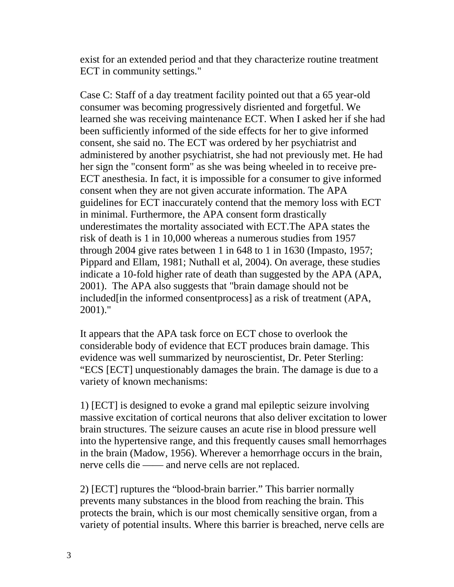exist for an extended period and that they characterize routine treatment ECT in community settings."

Case C: Staff of a day treatment facility pointed out that a 65 year-old consumer was becoming progressively disriented and forgetful. We learned she was receiving maintenance ECT. When I asked her if she had been sufficiently informed of the side effects for her to give informed consent, she said no. The ECT was ordered by her psychiatrist and administered by another psychiatrist, she had not previously met. He had her sign the "consent form" as she was being wheeled in to receive pre-ECT anesthesia. In fact, it is impossible for a consumer to give informed consent when they are not given accurate information. The APA guidelines for ECT inaccurately contend that the memory loss with ECT in minimal. Furthermore, the APA consent form drastically underestimates the mortality associated with ECT.The APA states the risk of death is 1 in 10,000 whereas a numerous studies from 1957 through 2004 give rates between 1 in 648 to 1 in 1630 (Impasto, 1957; Pippard and Ellam, 1981; Nuthall et al, 2004). On average, these studies indicate a 10-fold higher rate of death than suggested by the APA (APA, 2001). The APA also suggests that "brain damage should not be included [in the informed consentprocess] as a risk of treatment (APA, 2001)."

It appears that the APA task force on ECT chose to overlook the considerable body of evidence that ECT produces brain damage. This evidence was well summarized by neuroscientist, Dr. Peter Sterling: "ECS [ECT] unquestionably damages the brain. The damage is due to a variety of known mechanisms:

1) [ECT] is designed to evoke a grand mal epileptic seizure involving massive excitation of cortical neurons that also deliver excitation to lower brain structures. The seizure causes an acute rise in blood pressure well into the hypertensive range, and this frequently causes small hemorrhages in the brain (Madow, 1956). Wherever a hemorrhage occurs in the brain, nerve cells die —— and nerve cells are not replaced.

2) [ECT] ruptures the "blood-brain barrier." This barrier normally prevents many substances in the blood from reaching the brain. This protects the brain, which is our most chemically sensitive organ, from a variety of potential insults. Where this barrier is breached, nerve cells are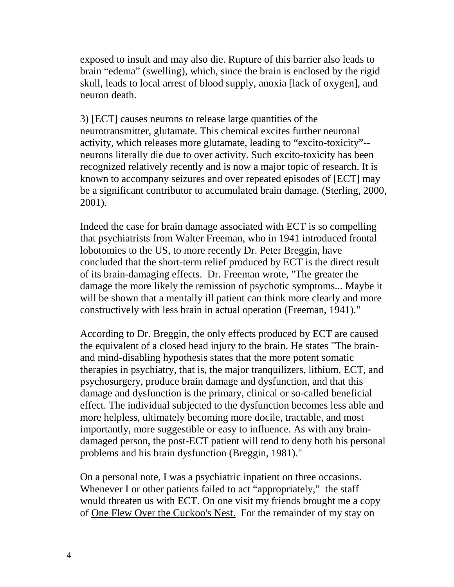exposed to insult and may also die. Rupture of this barrier also leads to brain "edema" (swelling), which, since the brain is enclosed by the rigid skull, leads to local arrest of blood supply, anoxia [lack of oxygen], and neuron death.

3) [ECT] causes neurons to release large quantities of the neurotransmitter, glutamate. This chemical excites further neuronal activity, which releases more glutamate, leading to "excito-toxicity"- neurons literally die due to over activity. Such excito-toxicity has been recognized relatively recently and is now a major topic of research. It is known to accompany seizures and over repeated episodes of [ECT] may be a significant contributor to accumulated brain damage. (Sterling, 2000, 2001).

Indeed the case for brain damage associated with ECT is so compelling that psychiatrists from Walter Freeman, who in 1941 introduced frontal lobotomies to the US, to more recently Dr. Peter Breggin, have concluded that the short-term relief produced by ECT is the direct result of its brain-damaging effects. Dr. Freeman wrote, "The greater the damage the more likely the remission of psychotic symptoms... Maybe it will be shown that a mentally ill patient can think more clearly and more constructively with less brain in actual operation (Freeman, 1941)."

According to Dr. Breggin, the only effects produced by ECT are caused the equivalent of a closed head injury to the brain. He states "The brainand mind-disabling hypothesis states that the more potent somatic therapies in psychiatry, that is, the major tranquilizers, lithium, ECT, and psychosurgery, produce brain damage and dysfunction, and that this damage and dysfunction is the primary, clinical or so-called beneficial effect. The individual subjected to the dysfunction becomes less able and more helpless, ultimately becoming more docile, tractable, and most importantly, more suggestible or easy to influence. As with any braindamaged person, the post-ECT patient will tend to deny both his personal problems and his brain dysfunction (Breggin, 1981)."

On a personal note, I was a psychiatric inpatient on three occasions. Whenever I or other patients failed to act "appropriately," the staff would threaten us with ECT. On one visit my friends brought me a copy of One Flew Over the Cuckoo's Nest. For the remainder of my stay on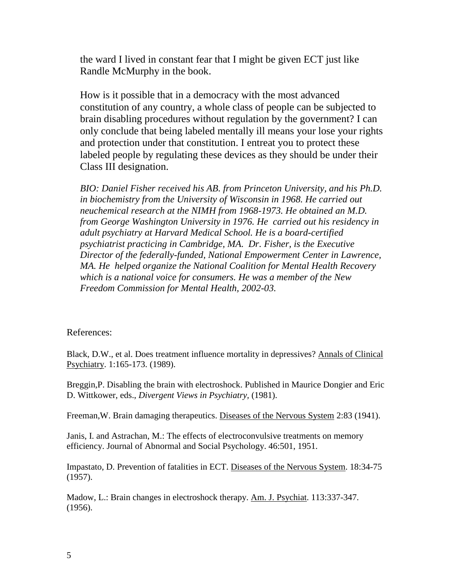the ward I lived in constant fear that I might be given ECT just like Randle McMurphy in the book.

How is it possible that in a democracy with the most advanced constitution of any country, a whole class of people can be subjected to brain disabling procedures without regulation by the government? I can only conclude that being labeled mentally ill means your lose your rights and protection under that constitution. I entreat you to protect these labeled people by regulating these devices as they should be under their Class III designation.

*BIO: Daniel Fisher received his AB. from Princeton University, and his Ph.D. in biochemistry from the University of Wisconsin in 1968. He carried out neuchemical research at the NIMH from 1968-1973. He obtained an M.D. from George Washington University in 1976. He carried out his residency in adult psychiatry at Harvard Medical School. He is a board-certified psychiatrist practicing in Cambridge, MA. Dr. Fisher, is the Executive Director of the federally-funded, National Empowerment Center in Lawrence, MA. He helped organize the National Coalition for Mental Health Recovery which is a national voice for consumers. He was a member of the New Freedom Commission for Mental Health, 2002-03.*

## References:

Black, D.W., et al. Does treatment influence mortality in depressives? Annals of Clinical Psychiatry. 1:165-173. (1989).

Breggin,P. Disabling the brain with electroshock. Published in Maurice Dongier and Eric D. Wittkower, eds., *Divergent Views in Psychiatry,* (1981).

Freeman, W. Brain damaging therapeutics. Diseases of the Nervous System 2:83 (1941).

Janis, I. and Astrachan, M.: The effects of electroconvulsive treatments on memory efficiency. Journal of Abnormal and Social Psychology. 46:501, 1951.

Impastato, D. Prevention of fatalities in ECT. Diseases of the Nervous System. 18:34-75 (1957).

Madow, L.: Brain changes in electroshock therapy. Am. J. Psychiat. 113:337-347. (1956).